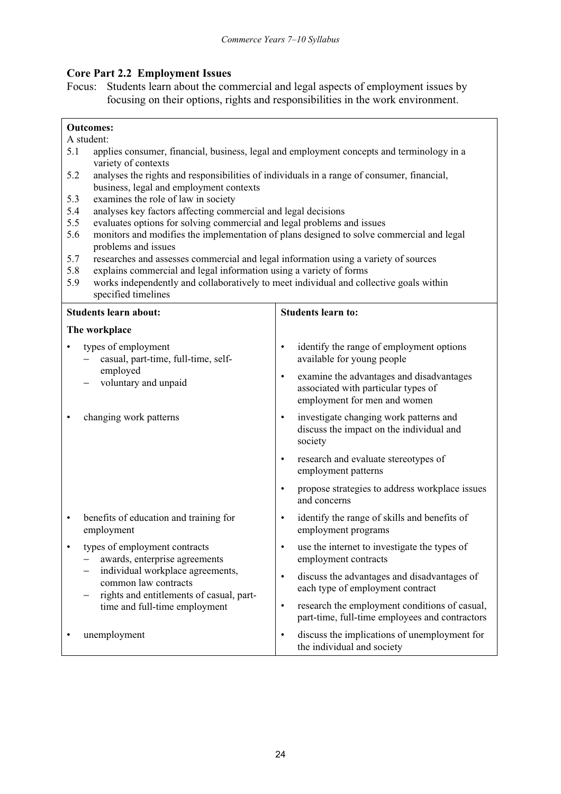## Core Part 2.2 Employment Issues

Focus: Students learn about the commercial and legal aspects of employment issues by focusing on their options, rights and responsibilities in the work environment.

## Outcomes:

## A student:

- 5.1 applies consumer, financial, business, legal and employment concepts and terminology in a variety of contexts
- 5.2 analyses the rights and responsibilities of individuals in a range of consumer, financial, business, legal and employment contexts
- 5.3 examines the role of law in society
- 5.4 analyses key factors affecting commercial and legal decisions
- 5.5 evaluates options for solving commercial and legal problems and issues
- 5.6 monitors and modifies the implementation of plans designed to solve commercial and legal problems and issues
- 5.7 researches and assesses commercial and legal information using a variety of sources
- 5.8 explains commercial and legal information using a variety of forms
- 5.9 works independently and collaboratively to meet individual and collective goals within specified timelines

| <b>Students learn about:</b> |                                                                                                                                                                                                         | <b>Students learn to:</b> |                                                                                                                 |
|------------------------------|---------------------------------------------------------------------------------------------------------------------------------------------------------------------------------------------------------|---------------------------|-----------------------------------------------------------------------------------------------------------------|
| The workplace                |                                                                                                                                                                                                         |                           |                                                                                                                 |
|                              | types of employment<br>casual, part-time, full-time, self-<br>employed<br>voluntary and unpaid                                                                                                          | $\bullet$                 | identify the range of employment options<br>available for young people                                          |
|                              |                                                                                                                                                                                                         | $\bullet$                 | examine the advantages and disadvantages<br>associated with particular types of<br>employment for men and women |
|                              | changing work patterns                                                                                                                                                                                  | $\bullet$                 | investigate changing work patterns and<br>discuss the impact on the individual and<br>society                   |
|                              |                                                                                                                                                                                                         | $\bullet$                 | research and evaluate stereotypes of<br>employment patterns                                                     |
|                              |                                                                                                                                                                                                         | $\bullet$                 | propose strategies to address workplace issues<br>and concerns                                                  |
| ٠                            | benefits of education and training for<br>employment                                                                                                                                                    | $\bullet$                 | identify the range of skills and benefits of<br>employment programs                                             |
| ٠                            | types of employment contracts<br>awards, enterprise agreements<br>individual workplace agreements,<br>common law contracts<br>rights and entitlements of casual, part-<br>time and full-time employment | $\bullet$                 | use the internet to investigate the types of<br>employment contracts                                            |
|                              |                                                                                                                                                                                                         | $\bullet$                 | discuss the advantages and disadvantages of<br>each type of employment contract                                 |
|                              |                                                                                                                                                                                                         | $\bullet$                 | research the employment conditions of casual,<br>part-time, full-time employees and contractors                 |
|                              | unemployment                                                                                                                                                                                            | $\bullet$                 | discuss the implications of unemployment for<br>the individual and society                                      |